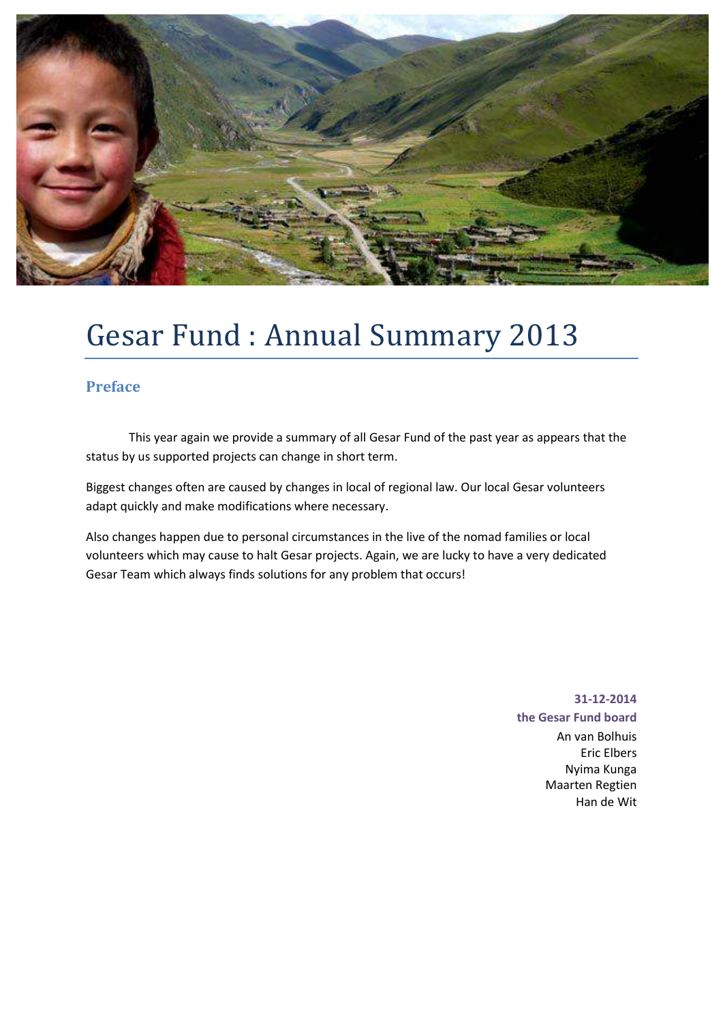

## Gesar Fund : Annual Summary 2013

### **Preface**

 This year again we provide a summary of all Gesar Fund of the past year as appears that the status by us supported projects can change in short term.

Biggest changes often are caused by changes in local of regional law. Our local Gesar volunteers adapt quickly and make modifications where necessary.

Also changes happen due to personal circumstances in the live of the nomad families or local volunteers which may cause to halt Gesar projects. Again, we are lucky to have a very dedicated Gesar Team which always finds solutions for any problem that occurs!

## **31-12-2014 the Gesar Fund board** An van Bolhuis Eric Elbers

Nyima Kunga Maarten Regtien Han de Wit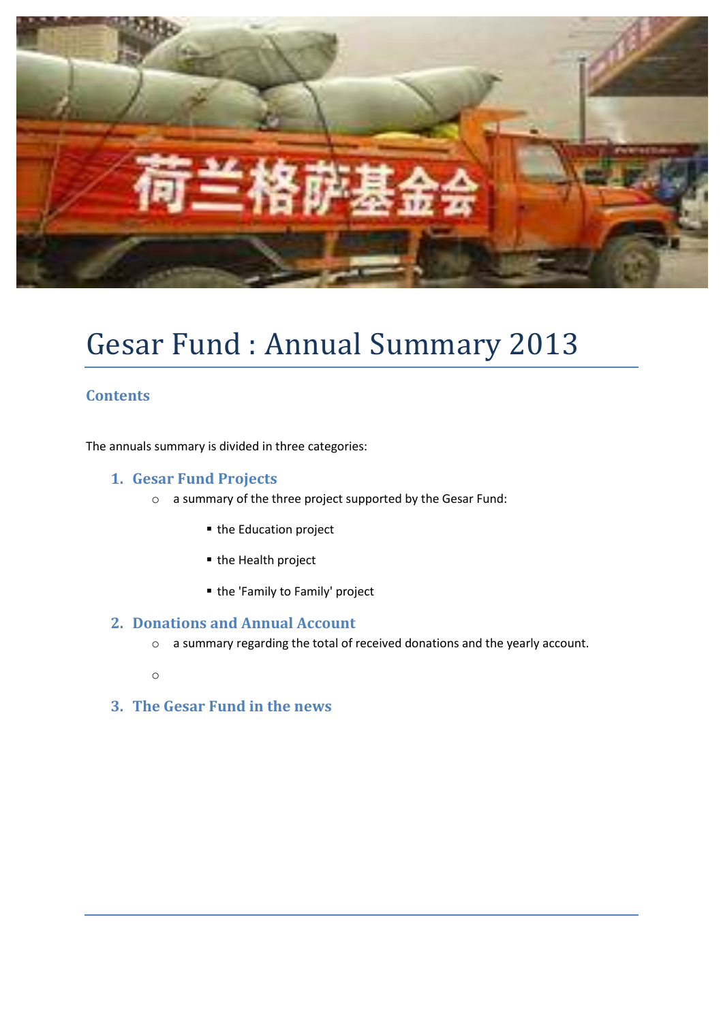

# Gesar Fund : Annual Summary 2013

### **Contents**

The annuals summary is divided in three categories:

### **1. Gesar Fund Projects**

- o a summary of the three project supported by the Gesar Fund:
	- the Education project
	- the Health project
	- the 'Family to Family' project

### **2. Donations and Annual Account**

- o a summary regarding the total of received donations and the yearly account.
- o
- **3. The Gesar Fund in the news**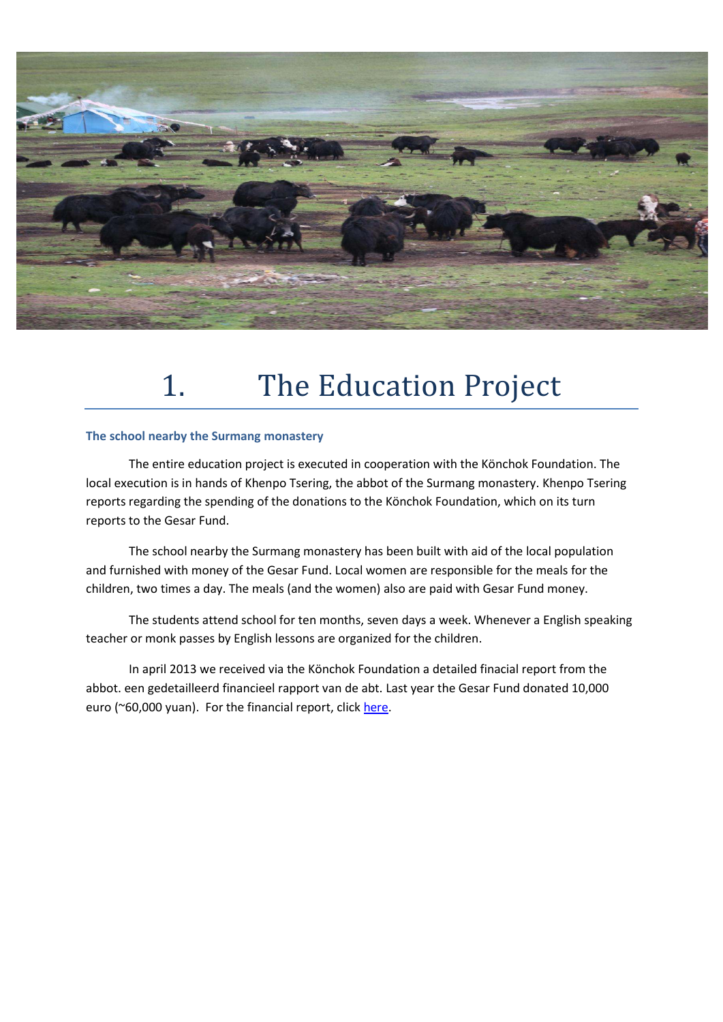

## 1. The Education Project

#### **The school nearby the Surmang monastery**

 The entire education project is executed in cooperation with the Könchok Foundation. The local execution is in hands of Khenpo Tsering, the abbot of the Surmang monastery. Khenpo Tsering reports regarding the spending of the donations to the Könchok Foundation, which on its turn reports to the Gesar Fund.

 The school nearby the Surmang monastery has been built with aid of the local population and furnished with money of the Gesar Fund. Local women are responsible for the meals for the children, two times a day. The meals (and the women) also are paid with Gesar Fund money.

 The students attend school for ten months, seven days a week. Whenever a English speaking teacher or monk passes by English lessons are organized for the children.

 In april 2013 we received via the Könchok Foundation a detailed finacial report from the abbot. een gedetailleerd financieel rapport van de abt. Last year the Gesar Fund donated 10,000 euro (~60,000 yuan). For the financial report, click [here.](http://gesarfund.nl/eng/projecten.asp?url=Education)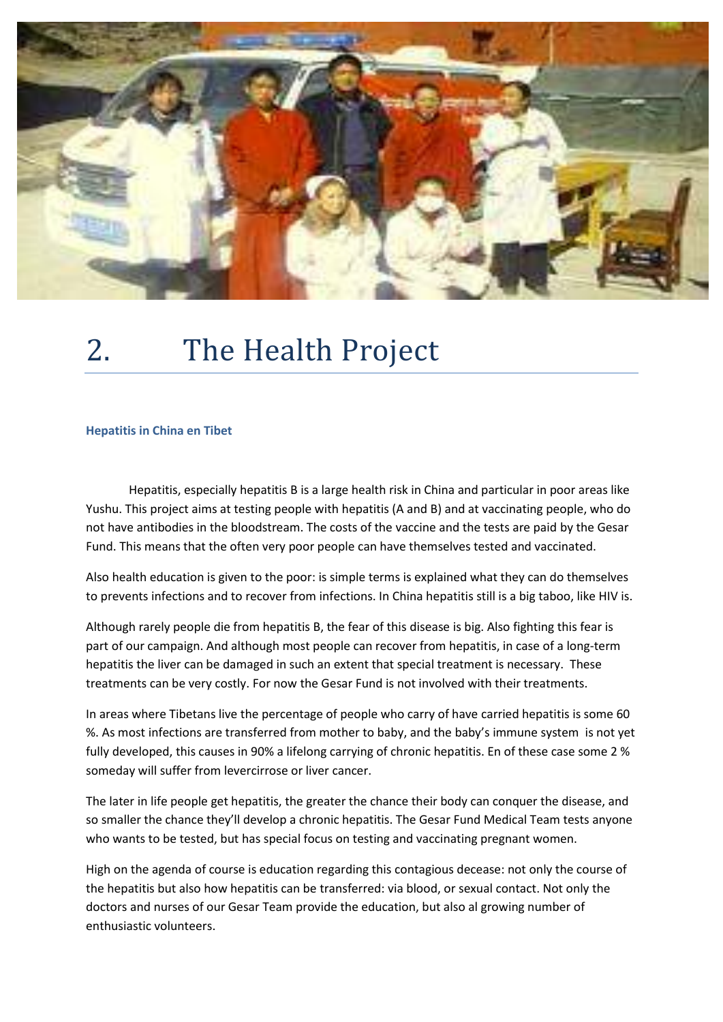

# 2. The Health Project

#### **Hepatitis in China en Tibet**

 Hepatitis, especially hepatitis B is a large health risk in China and particular in poor areas like Yushu. This project aims at testing people with hepatitis (A and B) and at vaccinating people, who do not have antibodies in the bloodstream. The costs of the vaccine and the tests are paid by the Gesar Fund. This means that the often very poor people can have themselves tested and vaccinated.

Also health education is given to the poor: is simple terms is explained what they can do themselves to prevents infections and to recover from infections. In China hepatitis still is a big taboo, like HIV is.

Although rarely people die from hepatitis B, the fear of this disease is big. Also fighting this fear is part of our campaign. And although most people can recover from hepatitis, in case of a long-term hepatitis the liver can be damaged in such an extent that special treatment is necessary. These treatments can be very costly. For now the Gesar Fund is not involved with their treatments.

In areas where Tibetans live the percentage of people who carry of have carried hepatitis is some 60 %. As most infections are transferred from mother to baby, and the baby's immune system is not yet fully developed, this causes in 90% a lifelong carrying of chronic hepatitis. En of these case some 2 % someday will suffer from levercirrose or liver cancer.

The later in life people get hepatitis, the greater the chance their body can conquer the disease, and so smaller the chance they'll develop a chronic hepatitis. The Gesar Fund Medical Team tests anyone who wants to be tested, but has special focus on testing and vaccinating pregnant women.

High on the agenda of course is education regarding this contagious decease: not only the course of the hepatitis but also how hepatitis can be transferred: via blood, or sexual contact. Not only the doctors and nurses of our Gesar Team provide the education, but also al growing number of enthusiastic volunteers.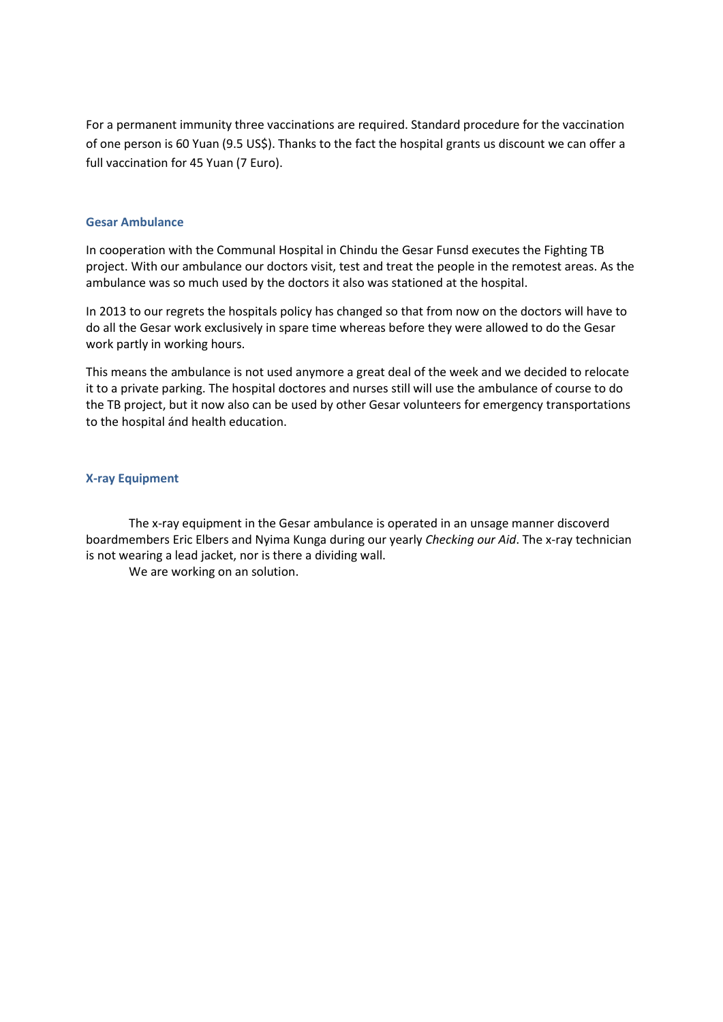For a permanent immunity three vaccinations are required. Standard procedure for the vaccination of one person is 60 Yuan (9.5 US\$). Thanks to the fact the hospital grants us discount we can offer a full vaccination for 45 Yuan (7 Euro).

#### **Gesar Ambulance**

In cooperation with the Communal Hospital in Chindu the Gesar Funsd executes the Fighting TB project. With our ambulance our doctors visit, test and treat the people in the remotest areas. As the ambulance was so much used by the doctors it also was stationed at the hospital.

In 2013 to our regrets the hospitals policy has changed so that from now on the doctors will have to do all the Gesar work exclusively in spare time whereas before they were allowed to do the Gesar work partly in working hours.

This means the ambulance is not used anymore a great deal of the week and we decided to relocate it to a private parking. The hospital doctores and nurses still will use the ambulance of course to do the TB project, but it now also can be used by other Gesar volunteers for emergency transportations to the hospital ánd health education.

#### **X-ray Equipment**

 The x-ray equipment in the Gesar ambulance is operated in an unsage manner discoverd boardmembers Eric Elbers and Nyima Kunga during our yearly *Checking our Aid*. The x-ray technician is not wearing a lead jacket, nor is there a dividing wall.

We are working on an solution.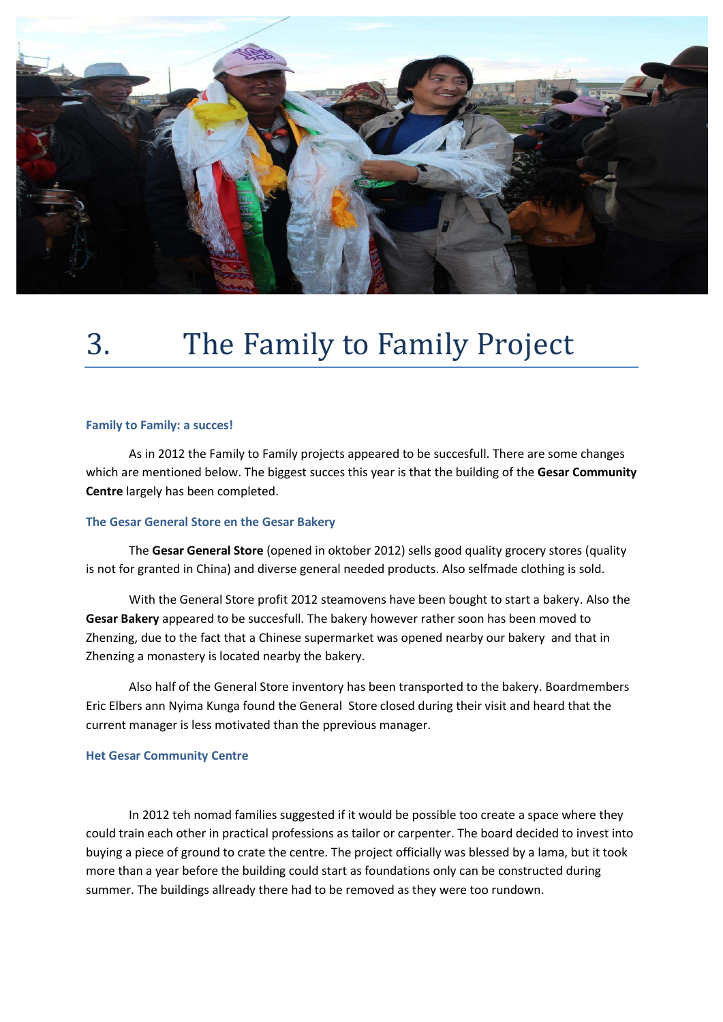

# 3. The Family to Family Project

#### **Family to Family: a succes!**

 As in 2012 the Family to Family projects appeared to be succesfull. There are some changes which are mentioned below. The biggest succes this year is that the building of the **Gesar Community Centre** largely has been completed.

#### **The Gesar General Store en the Gesar Bakery**

 The **Gesar General Store** (opened in oktober 2012) sells good quality grocery stores (quality is not for granted in China) and diverse general needed products. Also selfmade clothing is sold.

 With the General Store profit 2012 steamovens have been bought to start a bakery. Also the **Gesar Bakery** appeared to be succesfull. The bakery however rather soon has been moved to Zhenzing, due to the fact that a Chinese supermarket was opened nearby our bakery and that in Zhenzing a monastery is located nearby the bakery.

 Also half of the General Store inventory has been transported to the bakery. Boardmembers Eric Elbers ann Nyima Kunga found the General Store closed during their visit and heard that the current manager is less motivated than the pprevious manager.

#### **Het Gesar Community Centre**

In 2012 teh nomad families suggested if it would be possible too create a space where they could train each other in practical professions as tailor or carpenter. The board decided to invest into buying a piece of ground to crate the centre. The project officially was blessed by a lama, but it took more than a year before the building could start as foundations only can be constructed during summer. The buildings allready there had to be removed as they were too rundown.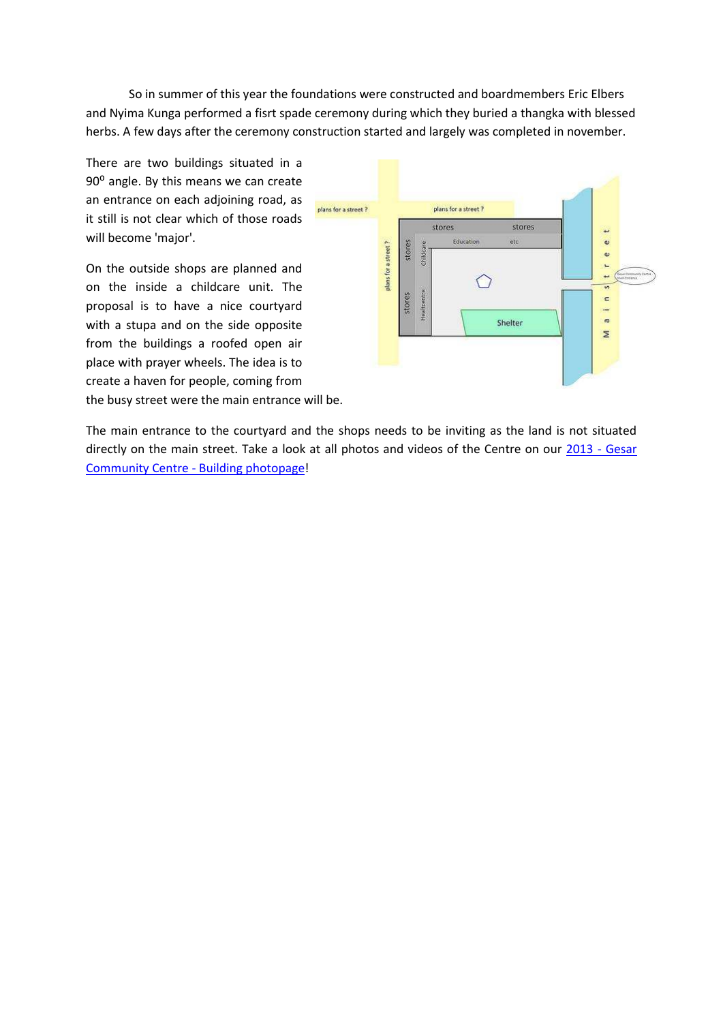So in summer of this year the foundations were constructed and boardmembers Eric Elbers and Nyima Kunga performed a fisrt spade ceremony during which they buried a thangka with blessed herbs. A few days after the ceremony construction started and largely was completed in november.

There are two buildings situated in a 90<sup>°</sup> angle. By this means we can create an entrance on each adjoining road, as it still is not clear which of those roads will become 'major'.

On the outside shops are planned and on the inside a childcare unit. The proposal is to have a nice courtyard with a stupa and on the side opposite from the buildings a roofed open air place with prayer wheels. The idea is to create a haven for people, coming from the busy street were the main entrance will be.



The main entrance to the courtyard and the shops needs to be inviting as the land is not situated directly on the main street. Take a look at all photos and videos of the Centre on our 2013 - Gesar [Community Centre - Building photopage!](http://www.flickr.com/photos/gesarfund/sets/72157635292205260/)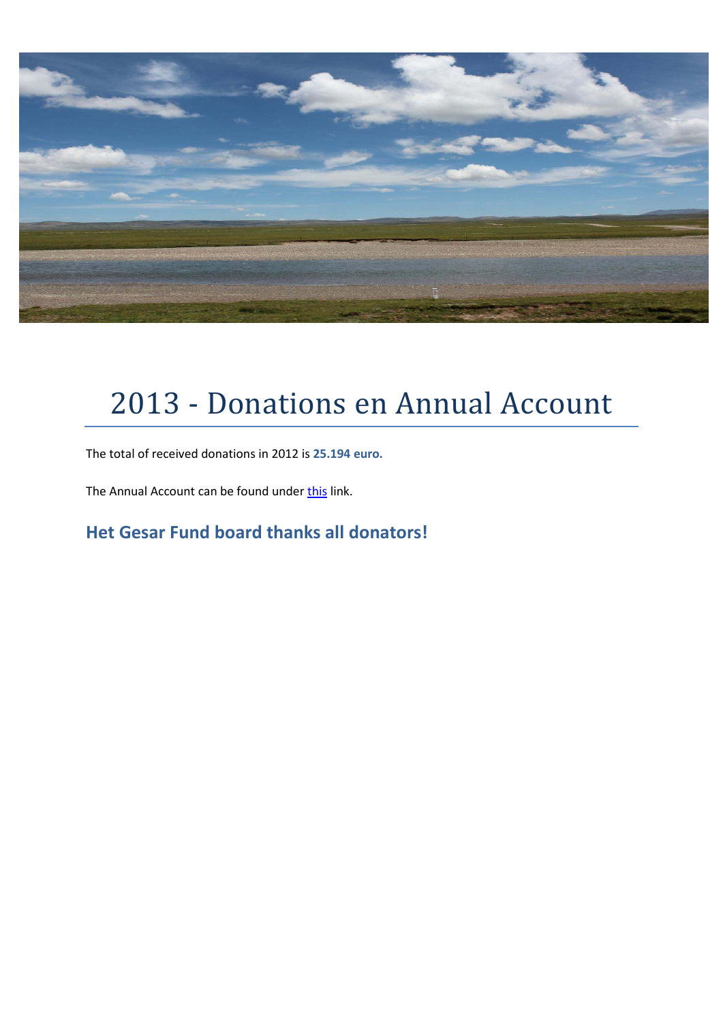

# 2013 - Donations en Annual Account

The total of received donations in 2012 is **25.194 euro.**

The Annual Account can be found under [this](http://www.regtien.info/pages/gesarfund/Stichting%20Gesar%20Fund%20Jaarrekening%202012.pdf) link.

**Het Gesar Fund board thanks all donators!**